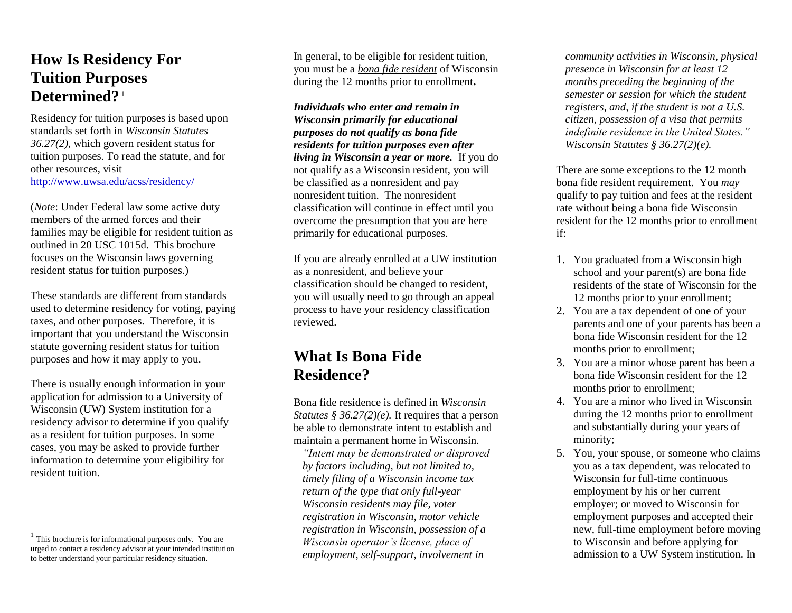## **How Is Residency For Tuition Purposes Determined?**<sup>1</sup>

Residency for tuition purposes is based upon standards set forth in *Wisconsin Statutes 36.27(2),* which govern resident status for tuition purposes. To read the statute, and for other resources, visit http:/[/www.uwsa.edu/acss/residency/](http://www.uwsa.edu/acss/residency)

(*Note*: Under Federal law some active duty members of the armed forces and their families may be eligible for resident tuition as outlined in 20 USC 1015d. This brochure focuses on the Wisconsin laws governing resident status for tuition purposes.)

These standards are different from standards used to determine residency for voting, paying taxes, and other purposes. Therefore, it is important that you understand the Wisconsin statute governing resident status for tuition purposes and how it may apply to you.

There is usually enough information in your application for admission to a University of Wisconsin (UW) System institution for a residency advisor to determine if you qualify as a resident for tuition purposes. In some cases, you may be asked to provide further information to determine your eligibility for resident tuition.

 $\overline{a}$ 

In general, to be eligible for resident tuition, you must be a *bona fide resident* of Wisconsin during the 12 months prior to enrollment**.**

*Individuals who enter and remain in Wisconsin primarily for educational purposes do not qualify as bona fide residents for tuition purposes even after living in Wisconsin a year or more.* If you do not qualify as a Wisconsin resident, you will be classified as a nonresident and pay nonresident tuition. The nonresident classification will continue in effect until you overcome the presumption that you are here primarily for educational purposes.

If you are already enrolled at a UW institution as a nonresident, and believe your classification should be changed to resident, you will usually need to go through an appeal process to have your residency classification reviewed.

## **What Is Bona Fide Residence?**

Bona fide residence is defined in *Wisconsin Statutes § 36.27(2)(e).* It requires that a person be able to demonstrate intent to establish and maintain a permanent home in Wisconsin.

*"Intent may be demonstrated or disproved by factors including, but not limited to, timely filing of a Wisconsin income tax return of the type that only full-year Wisconsin residents may file, voter registration in Wisconsin, motor vehicle registration in Wisconsin, possession of a Wisconsin operator's license, place of employment, self-support, involvement in* 

*community activities in Wisconsin, physical presence in Wisconsin for at least 12 months preceding the beginning of the semester or session for which the student registers, and, if the student is not a U.S. citizen, possession of a visa that permits indefinite residence in the United States." Wisconsin Statutes § 36.27(2)(e).* 

There are some exceptions to the 12 month bona fide resident requirement. You *may* qualify to pay tuition and fees at the resident rate without being a bona fide Wisconsin resident for the 12 months prior to enrollment if:

- 1. You graduated from a Wisconsin high school and your parent(s) are bona fide residents of the state of Wisconsin for the 12 months prior to your enrollment;
- 2. You are a tax dependent of one of your parents and one of your parents has been a bona fide Wisconsin resident for the 12 months prior to enrollment;
- 3. You are a minor whose parent has been a bona fide Wisconsin resident for the 12 months prior to enrollment;
- 4. You are a minor who lived in Wisconsin during the 12 months prior to enrollment and substantially during your years of minority;
- 5. You, your spouse, or someone who claims you as a tax dependent, was relocated to Wisconsin for full-time continuous employment by his or her current employer; or moved to Wisconsin for employment purposes and accepted their new, full-time employment before moving to Wisconsin and before applying for admission to a UW System institution. In

<sup>&</sup>lt;sup>1</sup> This brochure is for informational purposes only. You are urged to contact a residency advisor at your intended institution to better understand your particular residency situation.